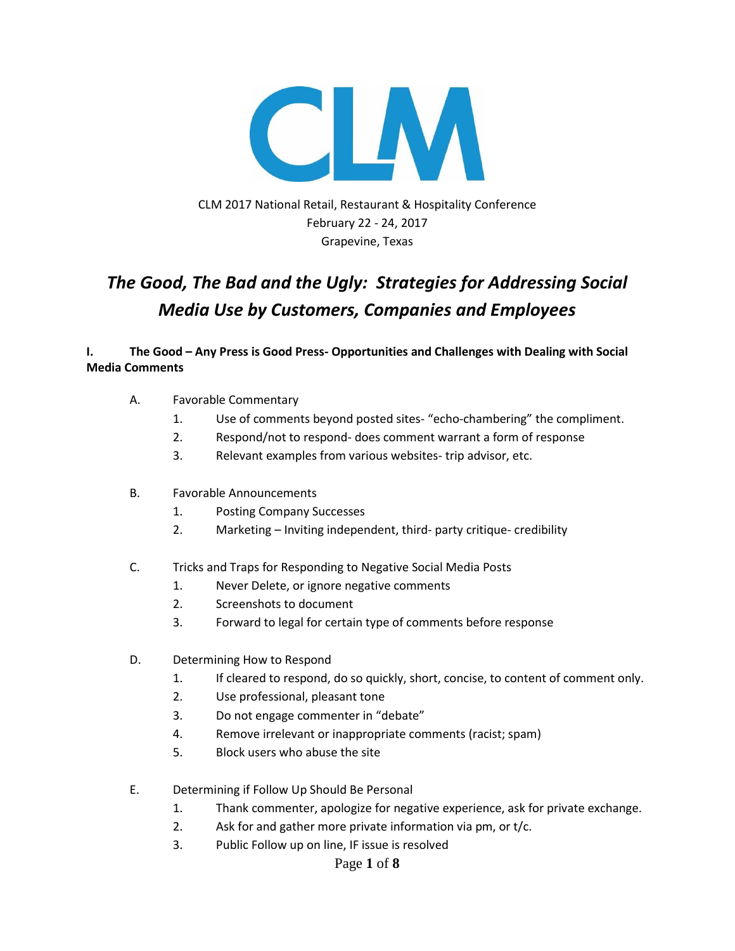

CLM 2017 National Retail, Restaurant & Hospitality Conference February 22 - 24, 2017 Grapevine, Texas

# *The Good, The Bad and the Ugly: Strategies for Addressing Social Media Use by Customers, Companies and Employees*

### **I. The Good – Any Press is Good Press- Opportunities and Challenges with Dealing with Social Media Comments**

- A. Favorable Commentary
	- 1. Use of comments beyond posted sites- "echo-chambering" the compliment.
	- 2. Respond/not to respond- does comment warrant a form of response
	- 3. Relevant examples from various websites- trip advisor, etc.
- B. Favorable Announcements
	- 1. Posting Company Successes
	- 2. Marketing Inviting independent, third- party critique- credibility
- C. Tricks and Traps for Responding to Negative Social Media Posts
	- 1. Never Delete, or ignore negative comments
	- 2. Screenshots to document
	- 3. Forward to legal for certain type of comments before response
- D. Determining How to Respond
	- 1. If cleared to respond, do so quickly, short, concise, to content of comment only.
	- 2. Use professional, pleasant tone
	- 3. Do not engage commenter in "debate"
	- 4. Remove irrelevant or inappropriate comments (racist; spam)
	- 5. Block users who abuse the site
- E. Determining if Follow Up Should Be Personal
	- 1. Thank commenter, apologize for negative experience, ask for private exchange.
	- 2. Ask for and gather more private information via pm, or t/c.
	- 3. Public Follow up on line, IF issue is resolved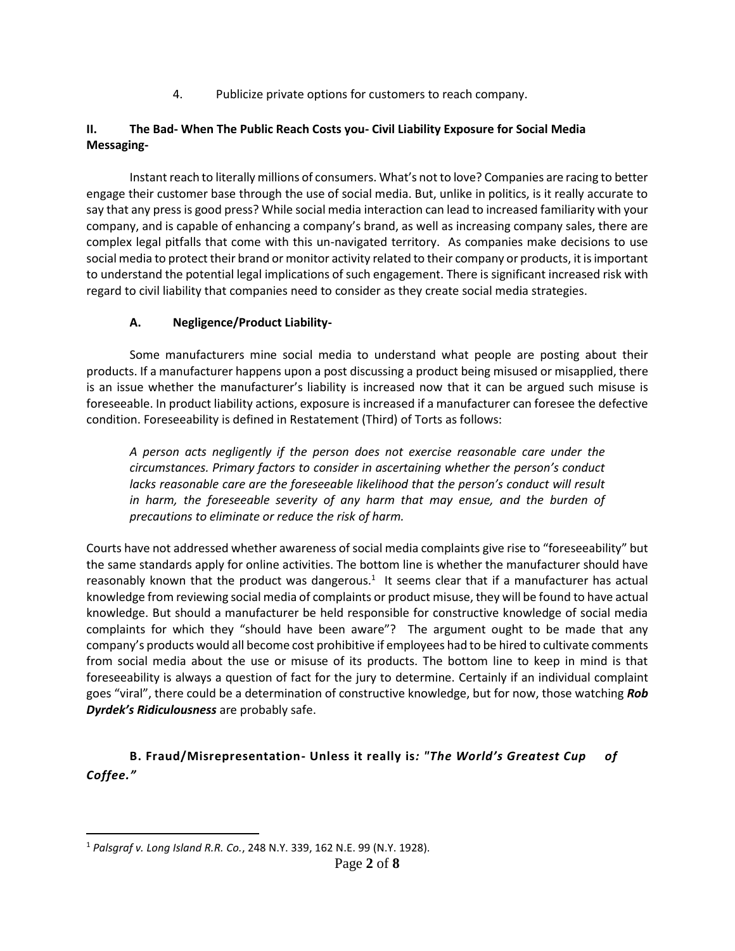4. Publicize private options for customers to reach company.

## **II. The Bad- When The Public Reach Costs you- Civil Liability Exposure for Social Media Messaging-**

Instant reach to literally millions of consumers. What's not to love? Companies are racing to better engage their customer base through the use of social media. But, unlike in politics, is it really accurate to say that any press is good press? While social media interaction can lead to increased familiarity with your company, and is capable of enhancing a company's brand, as well as increasing company sales, there are complex legal pitfalls that come with this un-navigated territory. As companies make decisions to use social media to protect their brand or monitor activity related to their company or products, it is important to understand the potential legal implications of such engagement. There is significant increased risk with regard to civil liability that companies need to consider as they create social media strategies.

## **A. Negligence/Product Liability-**

Some manufacturers mine social media to understand what people are posting about their products. If a manufacturer happens upon a post discussing a product being misused or misapplied, there is an issue whether the manufacturer's liability is increased now that it can be argued such misuse is foreseeable. In product liability actions, exposure is increased if a manufacturer can foresee the defective condition. Foreseeability is defined in Restatement (Third) of Torts as follows:

*A person acts negligently if the person does not exercise reasonable care under the circumstances. Primary factors to consider in ascertaining whether the person's conduct*  lacks reasonable care are the foreseeable likelihood that the person's conduct will result in harm, the foreseeable severity of any harm that may ensue, and the burden of *precautions to eliminate or reduce the risk of harm.*

Courts have not addressed whether awareness of social media complaints give rise to "foreseeability" but the same standards apply for online activities. The bottom line is whether the manufacturer should have reasonably known that the product was dangerous.<sup>1</sup> It seems clear that if a manufacturer has actual knowledge from reviewing social media of complaints or product misuse, they will be found to have actual knowledge. But should a manufacturer be held responsible for constructive knowledge of social media complaints for which they "should have been aware"? The argument ought to be made that any company's products would all become cost prohibitive if employees had to be hired to cultivate comments from social media about the use or misuse of its products. The bottom line to keep in mind is that foreseeability is always a question of fact for the jury to determine. Certainly if an individual complaint goes "viral", there could be a determination of constructive knowledge, but for now, those watching *Rob Dyrdek's Ridiculousness* are probably safe.

**B. Fraud/Misrepresentation- Unless it really is***: "The World's Greatest Cup of Coffee."*

l

<sup>1</sup> *Palsgraf v. Long Island R.R. Co.*, 248 N.Y. 339, 162 N.E. 99 (N.Y. 1928).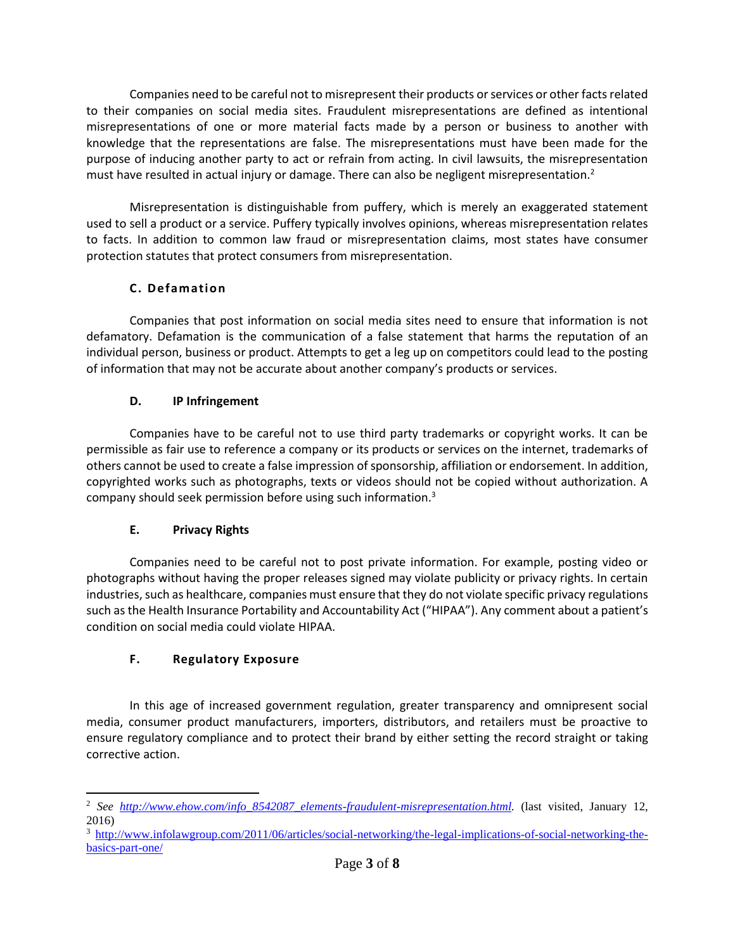Companies need to be careful not to misrepresent their products or services or other facts related to their companies on social media sites. Fraudulent misrepresentations are defined as intentional misrepresentations of one or more material facts made by a person or business to another with knowledge that the representations are false. The misrepresentations must have been made for the purpose of inducing another party to act or refrain from acting. In civil lawsuits, the misrepresentation must have resulted in actual injury or damage. There can also be negligent misrepresentation.<sup>2</sup>

Misrepresentation is distinguishable from puffery, which is merely an exaggerated statement used to sell a product or a service. Puffery typically involves opinions, whereas misrepresentation relates to facts. In addition to common law fraud or misrepresentation claims, most states have consumer protection statutes that protect consumers from misrepresentation.

## **C. Defamation**

Companies that post information on social media sites need to ensure that information is not defamatory. Defamation is the communication of a false statement that harms the reputation of an individual person, business or product. Attempts to get a leg up on competitors could lead to the posting of information that may not be accurate about another company's products or services.

## **D. IP Infringement**

Companies have to be careful not to use third party trademarks or copyright works. It can be permissible as fair use to reference a company or its products or services on the internet, trademarks of others cannot be used to create a false impression of sponsorship, affiliation or endorsement. In addition, copyrighted works such as photographs, texts or videos should not be copied without authorization. A company should seek permission before using such information.<sup>3</sup>

## **E. Privacy Rights**

Companies need to be careful not to post private information. For example, posting video or photographs without having the proper releases signed may violate publicity or privacy rights. In certain industries, such as healthcare, companies must ensure that they do not violate specific privacy regulations such as the Health Insurance Portability and Accountability Act ("HIPAA"). Any comment about a patient's condition on social media could violate HIPAA.

## **F. Regulatory Exposure**

In this age of increased government regulation, greater transparency and omnipresent social media, consumer product manufacturers, importers, distributors, and retailers must be proactive to ensure regulatory compliance and to protect their brand by either setting the record straight or taking corrective action.

 $\overline{a}$ <sup>2</sup> *See [http://www.ehow.com/info\\_8542087\\_elements-fraudulent-misrepresentation.html.](http://www.ehow.com/info_8542087_elements-fraudulent-misrepresentation.html)* (last visited, January 12, 2016)

<sup>3</sup> [http://www.infolawgroup.com/2011/06/articles/social-networking/the-legal-implications-of-social-networking-the](http://www.infolawgroup.com/2011/06/articles/social-networking/the-legal-implications-of-social-networking-the-basics-part-one/)[basics-part-one/](http://www.infolawgroup.com/2011/06/articles/social-networking/the-legal-implications-of-social-networking-the-basics-part-one/)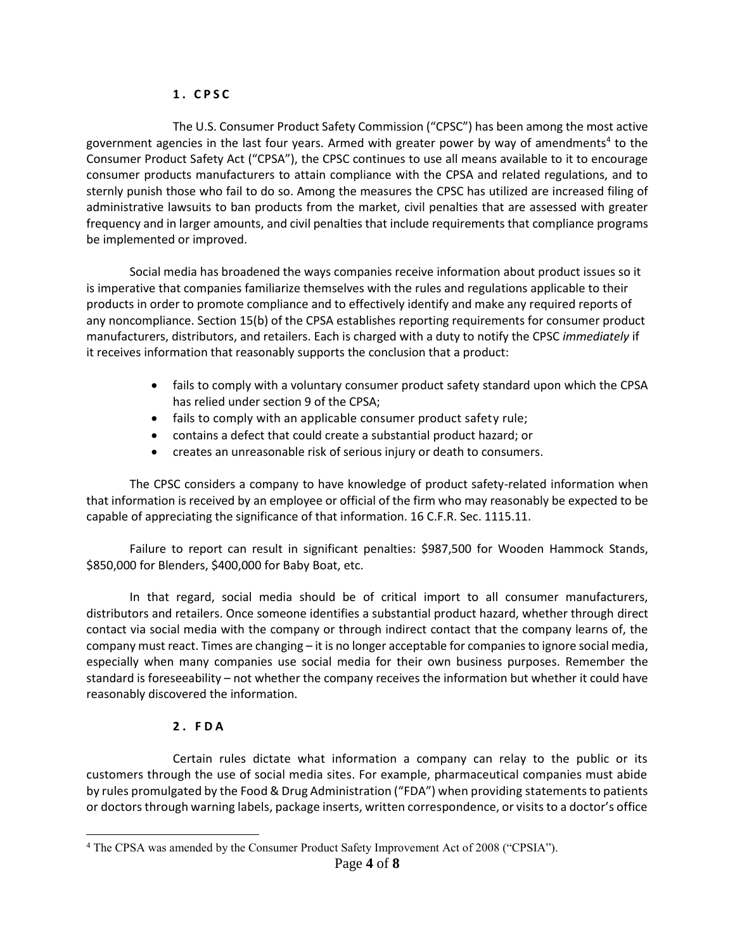#### **1 . C P S C**

The U.S. Consumer Product Safety Commission ("CPSC") has been among the most active government agencies in the last four years. Armed with greater power by way of amendments<sup>4</sup> to the Consumer Product Safety Act ("CPSA"), the CPSC continues to use all means available to it to encourage consumer products manufacturers to attain compliance with the CPSA and related regulations, and to sternly punish those who fail to do so. Among the measures the CPSC has utilized are increased filing of administrative lawsuits to ban products from the market, civil penalties that are assessed with greater frequency and in larger amounts, and civil penalties that include requirements that compliance programs be implemented or improved.

Social media has broadened the ways companies receive information about product issues so it is imperative that companies familiarize themselves with the rules and regulations applicable to their products in order to promote compliance and to effectively identify and make any required reports of any noncompliance. Section 15(b) of the CPSA establishes reporting requirements for consumer product manufacturers, distributors, and retailers. Each is charged with a duty to notify the CPSC *immediately* if it receives information that reasonably supports the conclusion that a product:

- fails to comply with a voluntary consumer product safety standard upon which the CPSA has relied under section 9 of the CPSA;
- fails to comply with an applicable consumer product safety rule;
- contains a defect that could create a substantial product hazard; or
- creates an unreasonable risk of serious injury or death to consumers.

The CPSC considers a company to have knowledge of product safety-related information when that information is received by an employee or official of the firm who may reasonably be expected to be capable of appreciating the significance of that information. 16 C.F.R. Sec. 1115.11.

Failure to report can result in significant penalties: \$987,500 for Wooden Hammock Stands, \$850,000 for Blenders, \$400,000 for Baby Boat, etc.

In that regard, social media should be of critical import to all consumer manufacturers, distributors and retailers. Once someone identifies a substantial product hazard, whether through direct contact via social media with the company or through indirect contact that the company learns of, the company must react. Times are changing – it is no longer acceptable for companies to ignore social media, especially when many companies use social media for their own business purposes. Remember the standard is foreseeability – not whether the company receives the information but whether it could have reasonably discovered the information.

## **2 . F D A**

 $\overline{a}$ 

Certain rules dictate what information a company can relay to the public or its customers through the use of social media sites. For example, pharmaceutical companies must abide by rules promulgated by the Food & Drug Administration ("FDA") when providing statements to patients or doctors through warning labels, package inserts, written correspondence, or visits to a doctor's office

<sup>4</sup> The CPSA was amended by the Consumer Product Safety Improvement Act of 2008 ("CPSIA").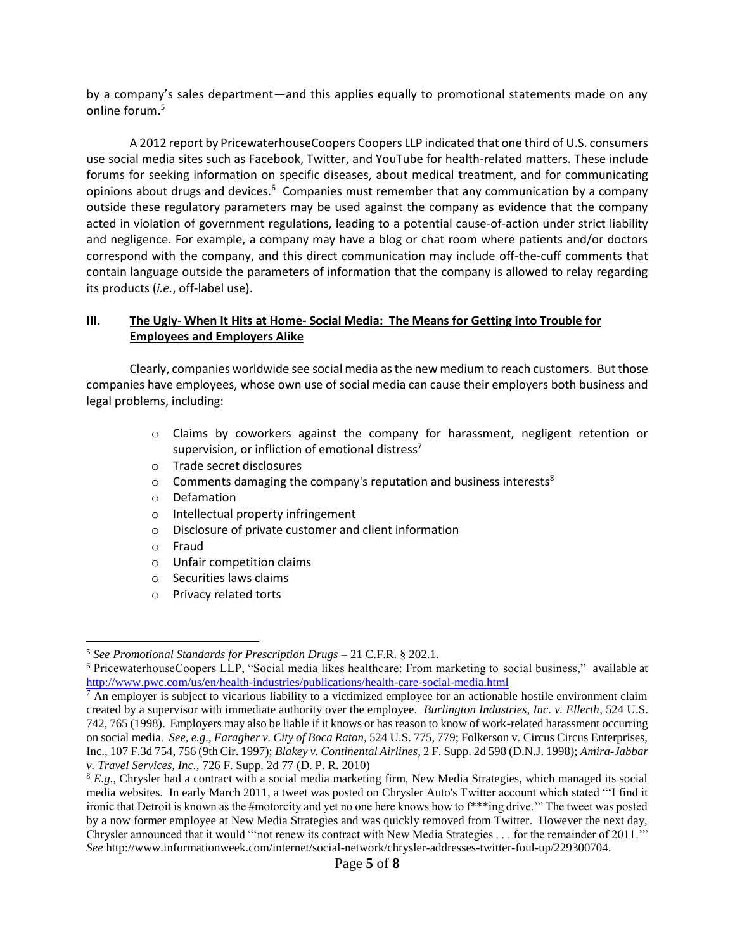by a company's sales department—and this applies equally to promotional statements made on any online forum.<sup>5</sup>

A 2012 report by PricewaterhouseCoopers Coopers LLP indicated that one third of U.S. consumers use social media sites such as Facebook, Twitter, and YouTube for health-related matters. These include forums for seeking information on specific diseases, about medical treatment, and for communicating opinions about drugs and devices.<sup>6</sup> Companies must remember that any communication by a company outside these regulatory parameters may be used against the company as evidence that the company acted in violation of government regulations, leading to a potential cause-of-action under strict liability and negligence. For example, a company may have a blog or chat room where patients and/or doctors correspond with the company, and this direct communication may include off-the-cuff comments that contain language outside the parameters of information that the company is allowed to relay regarding its products (*i.e.*, off-label use).

#### **III. The Ugly- When It Hits at Home- Social Media: The Means for Getting into Trouble for Employees and Employers Alike**

Clearly, companies worldwide see social media as the new medium to reach customers. But those companies have employees, whose own use of social media can cause their employers both business and legal problems, including:

- o Claims by coworkers against the company for harassment, negligent retention or supervision, or infliction of emotional distress<sup>7</sup>
- o Trade secret disclosures
- $\circ$  Comments damaging the company's reputation and business interests<sup>8</sup>
- o Defamation
- o Intellectual property infringement
- o Disclosure of private customer and client information
- o Fraud
- o Unfair competition claims
- o Securities laws claims
- o Privacy related torts

 $\overline{\phantom{a}}$ <sup>5</sup> *See Promotional Standards for Prescription Drugs* – 21 C.F.R. § 202.1.

<sup>6</sup> PricewaterhouseCoopers LLP, "Social media likes healthcare: From marketing to social business," available at [http://www.pwc.com/us/en/health-industries/publications/health-care-social-media.html](http://www.pwc.com/us/en/health-industries/publications/health-care-social-media.html.)

 $<sup>7</sup>$  An employer is subject to vicarious liability to a victimized employee for an actionable hostile environment claim</sup> created by a supervisor with immediate authority over the employee. *Burlington Industries, Inc. v. Ellerth*, 524 U.S. 742, 765 (1998). Employers may also be liable if it knows or has reason to know of work-related harassment occurring on social media. *See, e.g., Faragher v. City of Boca Raton,* 524 U.S. 775, 779; Folkerson v. Circus Circus Enterprises, Inc., 107 F.3d 754, 756 (9th Cir. 1997); *Blakey v. Continental Airlines*, 2 F. Supp. 2d 598 (D.N.J. 1998); *Amira-Jabbar v. Travel Services, Inc.,* 726 F. Supp. 2d 77 (D. P. R. 2010)

<sup>8</sup> *E.g.,* Chrysler had a contract with a social media marketing firm, New Media Strategies, which managed its social media websites. In early March 2011, a tweet was posted on Chrysler Auto's Twitter account which stated "'I find it ironic that Detroit is known as the #motorcity and yet no one here knows how to f\*\*\*ing drive.'" The tweet was posted by a now former employee at New Media Strategies and was quickly removed from Twitter. However the next day, Chrysler announced that it would "'not renew its contract with New Media Strategies . . . for the remainder of 2011.'" *See* http://www.informationweek.com/internet/social-network/chrysler-addresses-twitter-foul-up/229300704.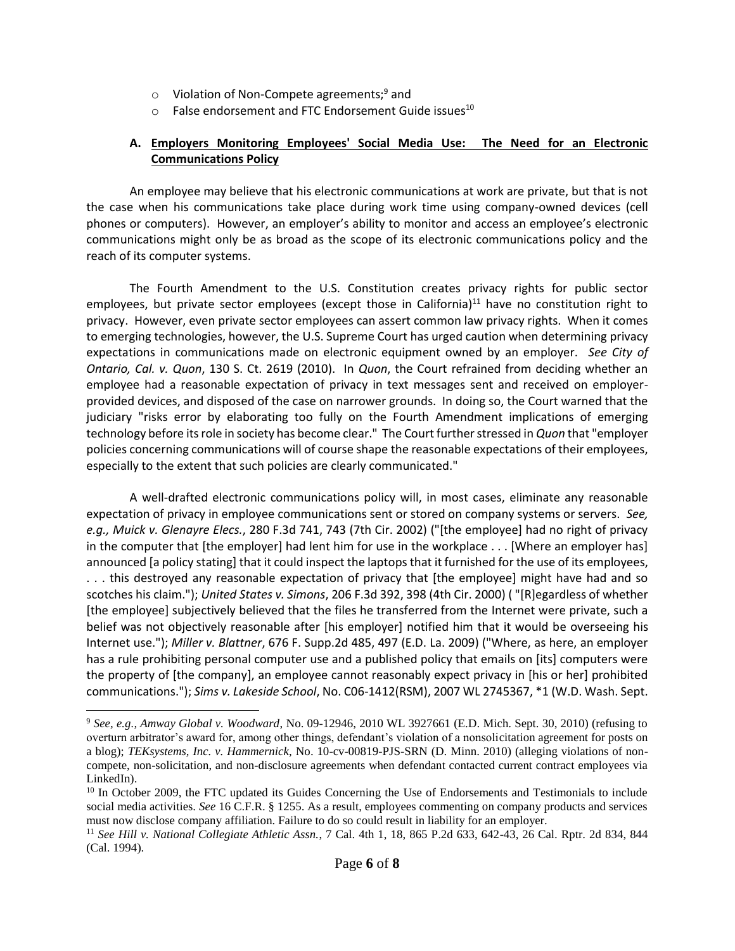- $\circ$  Violation of Non-Compete agreements;<sup>9</sup> and
- $\circ$  False endorsement and FTC Endorsement Guide issues<sup>10</sup>

#### **A. Employers Monitoring Employees' Social Media Use: The Need for an Electronic Communications Policy**

An employee may believe that his electronic communications at work are private, but that is not the case when his communications take place during work time using company-owned devices (cell phones or computers). However, an employer's ability to monitor and access an employee's electronic communications might only be as broad as the scope of its electronic communications policy and the reach of its computer systems.

The Fourth Amendment to the U.S. Constitution creates privacy rights for public sector employees, but private sector employees (except those in California)<sup>11</sup> have no constitution right to privacy. However, even private sector employees can assert common law privacy rights. When it comes to emerging technologies, however, the U.S. Supreme Court has urged caution when determining privacy expectations in communications made on electronic equipment owned by an employer. *See City of Ontario, Cal. v. Quon*, 130 S. Ct. 2619 (2010). In *Quon*, the Court refrained from deciding whether an employee had a reasonable expectation of privacy in text messages sent and received on employerprovided devices, and disposed of the case on narrower grounds. In doing so, the Court warned that the judiciary "risks error by elaborating too fully on the Fourth Amendment implications of emerging technology before its role in society has become clear." The Court further stressed in *Quon* that "employer policies concerning communications will of course shape the reasonable expectations of their employees, especially to the extent that such policies are clearly communicated."

A well-drafted electronic communications policy will, in most cases, eliminate any reasonable expectation of privacy in employee communications sent or stored on company systems or servers. *See, e.g., Muick v. Glenayre Elecs.*, 280 F.3d 741, 743 (7th Cir. 2002) ("[the employee] had no right of privacy in the computer that [the employer] had lent him for use in the workplace . . . [Where an employer has] announced [a policy stating] that it could inspect the laptops that it furnished for the use of its employees, . . . this destroyed any reasonable expectation of privacy that [the employee] might have had and so scotches his claim."); *United States v. Simons*, 206 F.3d 392, 398 (4th Cir. 2000) ( "[R]egardless of whether [the employee] subjectively believed that the files he transferred from the Internet were private, such a belief was not objectively reasonable after [his employer] notified him that it would be overseeing his Internet use."); *Miller v. Blattner*, 676 F. Supp.2d 485, 497 (E.D. La. 2009) ("Where, as here, an employer has a rule prohibiting personal computer use and a published policy that emails on [its] computers were the property of [the company], an employee cannot reasonably expect privacy in [his or her] prohibited communications."); *Sims v. Lakeside School*, No. C06-1412(RSM), 2007 WL 2745367, \*1 (W.D. Wash. Sept.

 $\overline{\phantom{a}}$ 

<sup>9</sup> *See, e.g., Amway Global v. Woodward*, No. 09-12946, 2010 WL 3927661 (E.D. Mich. Sept. 30, 2010) (refusing to overturn arbitrator's award for, among other things, defendant's violation of a nonsolicitation agreement for posts on a blog); *TEKsystems, Inc. v. Hammernick*, No. 10-cv-00819-PJS-SRN (D. Minn. 2010) (alleging violations of noncompete, non-solicitation, and non-disclosure agreements when defendant contacted current contract employees via LinkedIn).

<sup>&</sup>lt;sup>10</sup> In October 2009, the FTC updated its Guides Concerning the Use of Endorsements and Testimonials to include social media activities. *See* 16 C.F.R. § 1255. As a result, employees commenting on company products and services must now disclose company affiliation. Failure to do so could result in liability for an employer.

<sup>11</sup> *See Hill v. National Collegiate Athletic Assn.*, 7 Cal. 4th 1, 18, 865 P.2d 633, 642-43, 26 Cal. Rptr. 2d 834, 844 (Cal. 1994).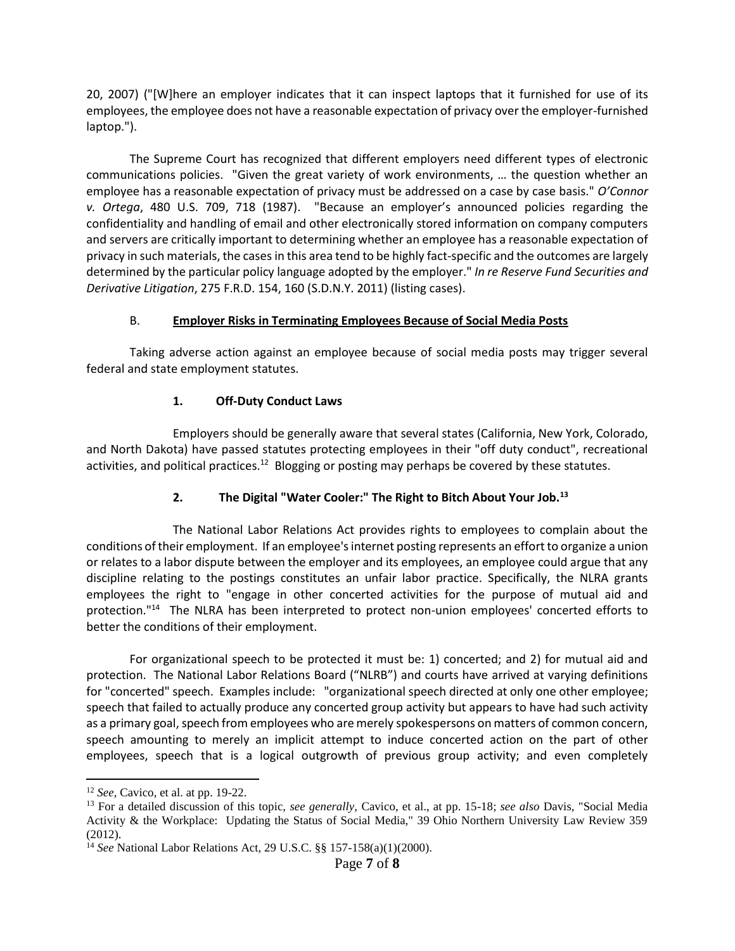20, 2007) ("[W]here an employer indicates that it can inspect laptops that it furnished for use of its employees, the employee does not have a reasonable expectation of privacy over the employer-furnished laptop.").

The Supreme Court has recognized that different employers need different types of electronic communications policies. "Given the great variety of work environments, … the question whether an employee has a reasonable expectation of privacy must be addressed on a case by case basis." *O'Connor v. Ortega*, 480 U.S. 709, 718 (1987). "Because an employer's announced policies regarding the confidentiality and handling of email and other electronically stored information on company computers and servers are critically important to determining whether an employee has a reasonable expectation of privacy in such materials, the cases in this area tend to be highly fact-specific and the outcomes are largely determined by the particular policy language adopted by the employer." *In re Reserve Fund Securities and Derivative Litigation*, 275 F.R.D. 154, 160 (S.D.N.Y. 2011) (listing cases).

#### B. **Employer Risks in Terminating Employees Because of Social Media Posts**

Taking adverse action against an employee because of social media posts may trigger several federal and state employment statutes.

#### **1. Off-Duty Conduct Laws**

Employers should be generally aware that several states (California, New York, Colorado, and North Dakota) have passed statutes protecting employees in their "off duty conduct", recreational activities, and political practices.<sup>12</sup> Blogging or posting may perhaps be covered by these statutes.

#### **2. The Digital "Water Cooler:" The Right to Bitch About Your Job.<sup>13</sup>**

The National Labor Relations Act provides rights to employees to complain about the conditions of their employment. If an employee's internet posting represents an effort to organize a union or relates to a labor dispute between the employer and its employees, an employee could argue that any discipline relating to the postings constitutes an unfair labor practice. Specifically, the NLRA grants employees the right to "engage in other concerted activities for the purpose of mutual aid and protection."<sup>14</sup> The NLRA has been interpreted to protect non-union employees' concerted efforts to better the conditions of their employment.

For organizational speech to be protected it must be: 1) concerted; and 2) for mutual aid and protection. The National Labor Relations Board ("NLRB") and courts have arrived at varying definitions for "concerted" speech. Examples include: "organizational speech directed at only one other employee; speech that failed to actually produce any concerted group activity but appears to have had such activity as a primary goal, speech from employees who are merely spokespersons on matters of common concern, speech amounting to merely an implicit attempt to induce concerted action on the part of other employees, speech that is a logical outgrowth of previous group activity; and even completely

l

<sup>12</sup> *See,* Cavico, et al. at pp. 19-22.

<sup>13</sup> For a detailed discussion of this topic, *see generally*, Cavico, et al., at pp. 15-18; *see also* Davis, "Social Media Activity & the Workplace: Updating the Status of Social Media," 39 Ohio Northern University Law Review 359 (2012).

<sup>14</sup> *See* National Labor Relations Act, 29 U.S.C. §§ 157-158(a)(1)(2000).